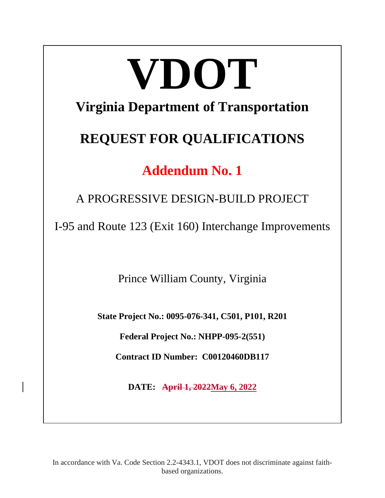# **VDOT Virginia Department of Transportation**

# **REQUEST FOR QUALIFICATIONS**

# **Addendum No. 1**

A PROGRESSIVE DESIGN-BUILD PROJECT

I-95 and Route 123 (Exit 160) Interchange Improvements

Prince William County, Virginia

**State Project No.: 0095-076-341, C501, P101, R201**

**Federal Project No.: NHPP-095-2(551)**

**Contract ID Number: C00120460DB117**

**DATE: April 1, 2022May 6, 2022**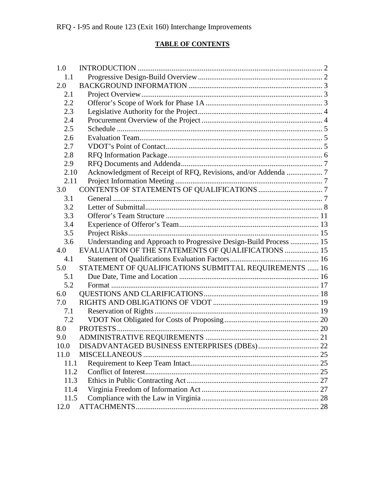#### **TABLE OF CONTENTS**

| 1.0  |                                                                    |  |
|------|--------------------------------------------------------------------|--|
| 1.1  |                                                                    |  |
| 2.0  |                                                                    |  |
| 2.1  |                                                                    |  |
| 2.2  |                                                                    |  |
| 2.3  |                                                                    |  |
| 2.4  |                                                                    |  |
| 2.5  |                                                                    |  |
| 2.6  |                                                                    |  |
| 2.7  |                                                                    |  |
| 2.8  |                                                                    |  |
| 2.9  |                                                                    |  |
| 2.10 | Acknowledgment of Receipt of RFQ, Revisions, and/or Addenda  7     |  |
| 2.11 |                                                                    |  |
| 3.0  |                                                                    |  |
| 3.1  |                                                                    |  |
| 3.2  |                                                                    |  |
| 3.3  |                                                                    |  |
| 3.4  |                                                                    |  |
| 3.5  |                                                                    |  |
| 3.6  | Understanding and Approach to Progressive Design-Build Process  15 |  |
| 4.0  | EVALUATION OF THE STATEMENTS OF QUALIFICATIONS  15                 |  |
| 4.1  |                                                                    |  |
| 5.0  | STATEMENT OF QUALIFICATIONS SUBMITTAL REQUIREMENTS  16             |  |
| 5.1  |                                                                    |  |
| 5.2  |                                                                    |  |
| 6.0  |                                                                    |  |
| 7.0  |                                                                    |  |
| 7.1  |                                                                    |  |
| 7.2  |                                                                    |  |
| 8.0  |                                                                    |  |
| 9.0  |                                                                    |  |
| 10.0 |                                                                    |  |
| 11.0 |                                                                    |  |
| 11.1 |                                                                    |  |
| 11.2 |                                                                    |  |
| 11.3 |                                                                    |  |
| 11.4 |                                                                    |  |
| 11.5 |                                                                    |  |
| 12.0 |                                                                    |  |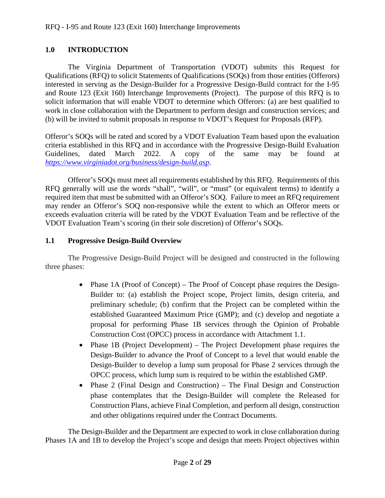### <span id="page-2-0"></span>**1.0 INTRODUCTION**

The Virginia Department of Transportation (VDOT) submits this Request for Qualifications (RFQ) to solicit Statements of Qualifications (SOQs) from those entities (Offerors) interested in serving as the Design-Builder for a Progressive Design-Build contract for the I-95 and Route 123 (Exit 160) Interchange Improvements (Project). The purpose of this RFQ is to solicit information that will enable VDOT to determine which Offerors: (a) are best qualified to work in close collaboration with the Department to perform design and construction services; and (b) will be invited to submit proposals in response to VDOT's Request for Proposals (RFP).

Offeror's SOQs will be rated and scored by a VDOT Evaluation Team based upon the evaluation criteria established in this RFQ and in accordance with the Progressive Design-Build Evaluation Guidelines, dated March 2022. A copy of the same may be found at *<https://www.virginiadot.org/business/design-build.asp>*.

Offeror's SOQs must meet all requirements established by this RFQ. Requirements of this RFQ generally will use the words "shall", "will", or "must" (or equivalent terms) to identify a required item that must be submitted with an Offeror's SOQ. Failure to meet an RFQ requirement may render an Offeror's SOQ non-responsive while the extent to which an Offeror meets or exceeds evaluation criteria will be rated by the VDOT Evaluation Team and be reflective of the VDOT Evaluation Team's scoring (in their sole discretion) of Offeror's SOQs.

#### <span id="page-2-1"></span>**1.1 Progressive Design-Build Overview**

The Progressive Design-Build Project will be designed and constructed in the following three phases:

- Phase 1A (Proof of Concept) The Proof of Concept phase requires the Design-Builder to: (a) establish the Project scope, Project limits, design criteria, and preliminary schedule; (b) confirm that the Project can be completed within the established Guaranteed Maximum Price (GMP); and (c) develop and negotiate a proposal for performing Phase 1B services through the Opinion of Probable Construction Cost (OPCC) process in accordance with Attachment 1.1.
- Phase 1B (Project Development) The Project Development phase requires the Design-Builder to advance the Proof of Concept to a level that would enable the Design-Builder to develop a lump sum proposal for Phase 2 services through the OPCC process, which lump sum is required to be within the established GMP.
- Phase 2 (Final Design and Construction) The Final Design and Construction phase contemplates that the Design-Builder will complete the Released for Construction Plans, achieve Final Completion, and perform all design, construction and other obligations required under the Contract Documents.

The Design-Builder and the Department are expected to work in close collaboration during Phases 1A and 1B to develop the Project's scope and design that meets Project objectives within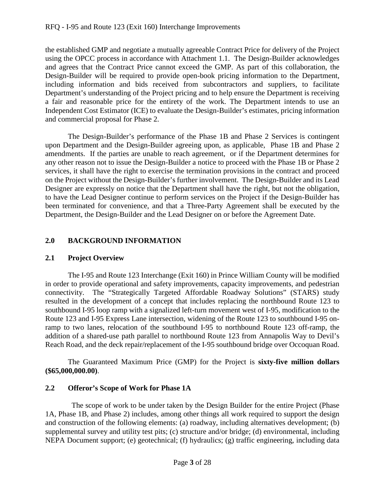the established GMP and negotiate a mutually agreeable Contract Price for delivery of the Project using the OPCC process in accordance with Attachment 1.1. The Design-Builder acknowledges and agrees that the Contract Price cannot exceed the GMP. As part of this collaboration, the Design-Builder will be required to provide open-book pricing information to the Department, including information and bids received from subcontractors and suppliers, to facilitate Department's understanding of the Project pricing and to help ensure the Department is receiving a fair and reasonable price for the entirety of the work. The Department intends to use an Independent Cost Estimator (ICE) to evaluate the Design-Builder's estimates, pricing information and commercial proposal for Phase 2.

The Design-Builder's performance of the Phase 1B and Phase 2 Services is contingent upon Department and the Design-Builder agreeing upon, as applicable, Phase 1B and Phase 2 amendments. If the parties are unable to reach agreement, or if the Department determines for any other reason not to issue the Design-Builder a notice to proceed with the Phase 1B or Phase 2 services, it shall have the right to exercise the termination provisions in the contract and proceed on the Project without the Design-Builder's further involvement. The Design-Builder and its Lead Designer are expressly on notice that the Department shall have the right, but not the obligation, to have the Lead Designer continue to perform services on the Project if the Design-Builder has been terminated for convenience, and that a Three-Party Agreement shall be executed by the Department, the Design-Builder and the Lead Designer on or before the Agreement Date.

#### <span id="page-3-0"></span>**2.0 BACKGROUND INFORMATION**

#### <span id="page-3-1"></span>**2.1 Project Overview**

The I-95 and Route 123 Interchange (Exit 160) in Prince William County will be modified in order to provide operational and safety improvements, capacity improvements, and pedestrian connectivity. The "Strategically Targeted Affordable Roadway Solutions" (STARS) study resulted in the development of a concept that includes replacing the northbound Route 123 to southbound I-95 loop ramp with a signalized left-turn movement west of I-95, modification to the Route 123 and I-95 Express Lane intersection, widening of the Route 123 to southbound I-95 onramp to two lanes, relocation of the southbound I-95 to northbound Route 123 off-ramp, the addition of a shared-use path parallel to northbound Route 123 from Annapolis Way to Devil's Reach Road, and the deck repair/replacement of the I-95 southbound bridge over Occoquan Road.

The Guaranteed Maximum Price (GMP) for the Project is **sixty-five million dollars (\$65,000,000.00)**.

#### <span id="page-3-2"></span>**2.2 Offeror's Scope of Work for Phase 1A**

 The scope of work to be under taken by the Design Builder for the entire Project (Phase 1A, Phase 1B, and Phase 2) includes, among other things all work required to support the design and construction of the following elements: (a) roadway, including alternatives development; (b) supplemental survey and utility test pits; (c) structure and/or bridge; (d) environmental, including NEPA Document support; (e) geotechnical; (f) hydraulics; (g) traffic engineering, including data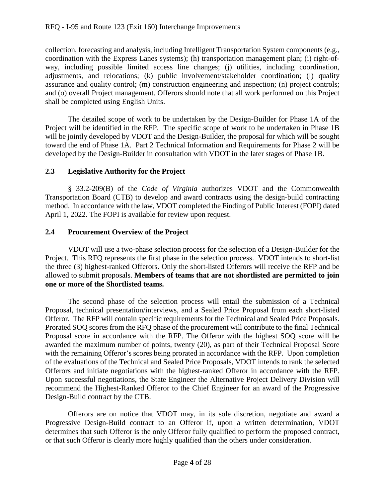collection, forecasting and analysis, including Intelligent Transportation System components (e.g., coordination with the Express Lanes systems); (h) transportation management plan; (i) right-ofway, including possible limited access line changes; (j) utilities, including coordination, adjustments, and relocations; (k) public involvement/stakeholder coordination; (l) quality assurance and quality control; (m) construction engineering and inspection; (n) project controls; and (o) overall Project management. Offerors should note that all work performed on this Project shall be completed using English Units.

The detailed scope of work to be undertaken by the Design-Builder for Phase 1A of the Project will be identified in the RFP. The specific scope of work to be undertaken in Phase 1B will be jointly developed by VDOT and the Design-Builder, the proposal for which will be sought toward the end of Phase 1A. Part 2 Technical Information and Requirements for Phase 2 will be developed by the Design-Builder in consultation with VDOT in the later stages of Phase 1B.

# <span id="page-4-0"></span>**2.3 Legislative Authority for the Project**

§ 33.2-209(B) of the *Code of Virginia* authorizes VDOT and the Commonwealth Transportation Board (CTB) to develop and award contracts using the design-build contracting method. In accordance with the law, VDOT completed the Finding of Public Interest (FOPI) dated April 1, 2022. The FOPI is available for review upon request.

# <span id="page-4-1"></span>**2.4 Procurement Overview of the Project**

VDOT will use a two-phase selection process for the selection of a Design-Builder for the Project. This RFQ represents the first phase in the selection process. VDOT intends to short-list the three (3) highest-ranked Offerors. Only the short-listed Offerors will receive the RFP and be allowed to submit proposals. **Members of teams that are not shortlisted are permitted to join one or more of the Shortlisted teams.** 

The second phase of the selection process will entail the submission of a Technical Proposal, technical presentation/interviews, and a Sealed Price Proposal from each short-listed Offeror. The RFP will contain specific requirements for the Technical and Sealed Price Proposals. Prorated SOQ scores from the RFQ phase of the procurement will contribute to the final Technical Proposal score in accordance with the RFP. The Offeror with the highest SOQ score will be awarded the maximum number of points, twenty (20), as part of their Technical Proposal Score with the remaining Offeror's scores being prorated in accordance with the RFP. Upon completion of the evaluations of the Technical and Sealed Price Proposals, VDOT intends to rank the selected Offerors and initiate negotiations with the highest-ranked Offeror in accordance with the RFP. Upon successful negotiations, the State Engineer the Alternative Project Delivery Division will recommend the Highest-Ranked Offeror to the Chief Engineer for an award of the Progressive Design-Build contract by the CTB.

Offerors are on notice that VDOT may, in its sole discretion, negotiate and award a Progressive Design-Build contract to an Offeror if, upon a written determination, VDOT determines that such Offeror is the only Offeror fully qualified to perform the proposed contract, or that such Offeror is clearly more highly qualified than the others under consideration.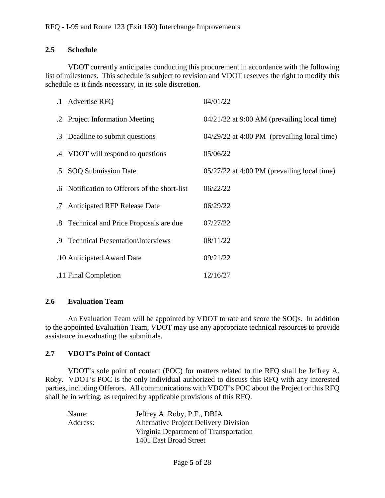#### <span id="page-5-0"></span>**2.5 Schedule**

VDOT currently anticipates conducting this procurement in accordance with the following list of milestones. This schedule is subject to revision and VDOT reserves the right to modify this schedule as it finds necessary, in its sole discretion.

|    | .1 Advertise RFQ                              | 04/01/22                                      |
|----|-----------------------------------------------|-----------------------------------------------|
|    | .2 Project Information Meeting                | $04/21/22$ at 9:00 AM (prevailing local time) |
|    | .3 Deadline to submit questions               | 04/29/22 at 4:00 PM (prevailing local time)   |
|    | .4 VDOT will respond to questions             | 05/06/22                                      |
|    | .5 SOQ Submission Date                        | $05/27/22$ at 4:00 PM (prevailing local time) |
|    | .6 Notification to Offerors of the short-list | 06/22/22                                      |
| .7 | <b>Anticipated RFP Release Date</b>           | 06/29/22                                      |
|    | .8 Technical and Price Proposals are due      | 07/27/22                                      |
|    | .9 Technical Presentation\Interviews          | 08/11/22                                      |
|    | .10 Anticipated Award Date                    | 09/21/22                                      |
|    | .11 Final Completion                          | 12/16/27                                      |

#### <span id="page-5-1"></span>**2.6 Evaluation Team**

An Evaluation Team will be appointed by VDOT to rate and score the SOQs. In addition to the appointed Evaluation Team, VDOT may use any appropriate technical resources to provide assistance in evaluating the submittals.

#### <span id="page-5-2"></span>**2.7 VDOT's Point of Contact**

VDOT's sole point of contact (POC) for matters related to the RFQ shall be Jeffrey A. Roby. VDOT's POC is the only individual authorized to discuss this RFQ with any interested parties, including Offerors. All communications with VDOT's POC about the Project or this RFQ shall be in writing, as required by applicable provisions of this RFQ.

| Name:    | Jeffrey A. Roby, P.E., DBIA                  |
|----------|----------------------------------------------|
| Address: | <b>Alternative Project Delivery Division</b> |
|          | Virginia Department of Transportation        |
|          | 1401 East Broad Street                       |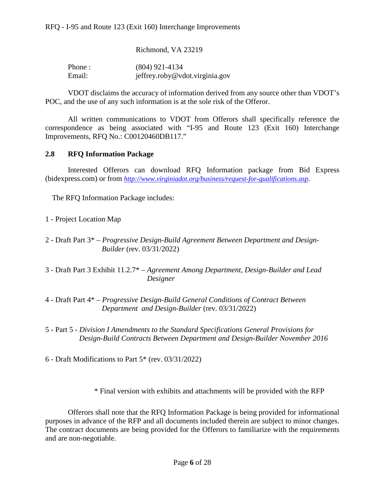Richmond, VA 23219

| Phone: | $(804)$ 921-4134               |
|--------|--------------------------------|
| Email: | jeffrey.roby@vdot.virginia.gov |

VDOT disclaims the accuracy of information derived from any source other than VDOT's POC, and the use of any such information is at the sole risk of the Offeror.

All written communications to VDOT from Offerors shall specifically reference the correspondence as being associated with "I-95 and Route 123 (Exit 160) Interchange Improvements, RFQ No.: C00120460DB117."

#### <span id="page-6-0"></span>**2.8 RFQ Information Package**

Interested Offerors can download RFQ Information package from Bid Express (bidexpress.com) or from *<http://www.virginiadot.org/business/request-for-qualifications.asp>*.

The RFQ Information Package includes:

- 1 Project Location Map
- 2 Draft Part 3\* *Progressive Design-Build Agreement Between Department and Design-Builder* (rev. 03/31/2022)
- 3 Draft Part 3 Exhibit 11.2.7\* *Agreement Among Department, Design-Builder and Lead Designer*
- 4 Draft Part 4\* *Progressive Design-Build General Conditions of Contract Between Department and Design-Builder* (rev. 03/31/2022)
- 5 Part 5 *Division I Amendments to the Standard Specifications General Provisions for Design-Build Contracts Between Department and Design-Builder November 2016*

6 - Draft Modifications to Part 5\* (rev. 03/31/2022)

\* Final version with exhibits and attachments will be provided with the RFP

Offerors shall note that the RFQ Information Package is being provided for informational purposes in advance of the RFP and all documents included therein are subject to minor changes. The contract documents are being provided for the Offerors to familiarize with the requirements and are non-negotiable.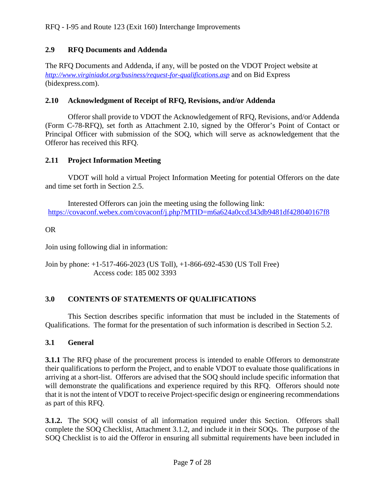# <span id="page-7-0"></span>**2.9 RFQ Documents and Addenda**

The RFQ Documents and Addenda, if any, will be posted on the VDOT Project website at *<http://www.virginiadot.org/business/request-for-qualifications.asp>* and on Bid Express (bidexpress.com).

### <span id="page-7-1"></span>**2.10 Acknowledgment of Receipt of RFQ, Revisions, and/or Addenda**

Offeror shall provide to VDOT the Acknowledgement of RFQ, Revisions, and/or Addenda (Form C-78-RFQ), set forth as Attachment 2.10, signed by the Offeror's Point of Contact or Principal Officer with submission of the SOQ, which will serve as acknowledgement that the Offeror has received this RFQ.

# <span id="page-7-2"></span>**2.11 Project Information Meeting**

VDOT will hold a virtual Project Information Meeting for potential Offerors on the date and time set forth in Section 2.5.

Interested Offerors can join the meeting using the following link: <https://covaconf.webex.com/covaconf/j.php?MTID=m6a624a0ccd343db9481df428040167f8>

# OR

Join using following dial in information:

Join by phone: +1-517-466-2023 (US Toll), +1-866-692-4530 (US Toll Free) Access code: 185 002 3393

# <span id="page-7-3"></span>**3.0 CONTENTS OF STATEMENTS OF QUALIFICATIONS**

This Section describes specific information that must be included in the Statements of Qualifications. The format for the presentation of such information is described in Section 5.2.

# <span id="page-7-4"></span>**3.1 General**

**3.1.1** The RFQ phase of the procurement process is intended to enable Offerors to demonstrate their qualifications to perform the Project, and to enable VDOT to evaluate those qualifications in arriving at a short-list. Offerors are advised that the SOQ should include specific information that will demonstrate the qualifications and experience required by this RFQ. Offerors should note that it is not the intent of VDOT to receive Project-specific design or engineering recommendations as part of this RFQ.

**3.1.2.** The SOQ will consist of all information required under this Section. Offerors shall complete the SOQ Checklist, Attachment 3.1.2, and include it in their SOQs. The purpose of the SOQ Checklist is to aid the Offeror in ensuring all submittal requirements have been included in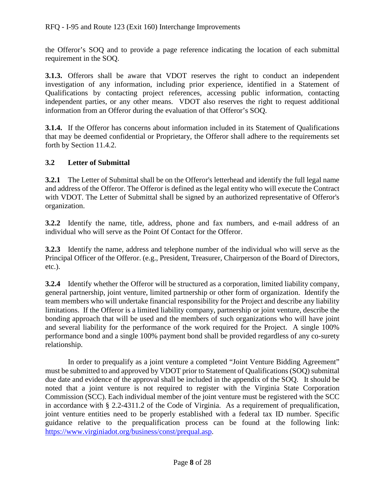the Offeror's SOQ and to provide a page reference indicating the location of each submittal requirement in the SOQ.

**3.1.3.** Offerors shall be aware that VDOT reserves the right to conduct an independent investigation of any information, including prior experience, identified in a Statement of Qualifications by contacting project references, accessing public information, contacting independent parties, or any other means. VDOT also reserves the right to request additional information from an Offeror during the evaluation of that Offeror's SOQ.

**3.1.4.** If the Offeror has concerns about information included in its Statement of Qualifications that may be deemed confidential or Proprietary, the Offeror shall adhere to the requirements set forth by Section 11.4.2.

# <span id="page-8-0"></span>**3.2 Letter of Submittal**

**3.2.1** The Letter of Submittal shall be on the Offeror's letterhead and identify the full legal name and address of the Offeror. The Offeror is defined as the legal entity who will execute the Contract with VDOT. The Letter of Submittal shall be signed by an authorized representative of Offeror's organization.

**3.2.2** Identify the name, title, address, phone and fax numbers, and e-mail address of an individual who will serve as the Point Of Contact for the Offeror.

**3.2.3** Identify the name, address and telephone number of the individual who will serve as the Principal Officer of the Offeror. (e.g., President, Treasurer, Chairperson of the Board of Directors, etc.).

**3.2.4** Identify whether the Offeror will be structured as a corporation, limited liability company, general partnership, joint venture, limited partnership or other form of organization. Identify the team members who will undertake financial responsibility for the Project and describe any liability limitations. If the Offeror is a limited liability company, partnership or joint venture, describe the bonding approach that will be used and the members of such organizations who will have joint and several liability for the performance of the work required for the Project. A single 100% performance bond and a single 100% payment bond shall be provided regardless of any co-surety relationship.

In order to prequalify as a joint venture a completed "Joint Venture Bidding Agreement" must be submitted to and approved by VDOT prior to Statement of Qualifications (SOQ) submittal due date and evidence of the approval shall be included in the appendix of the SOQ. It should be noted that a joint venture is not required to register with the Virginia State Corporation Commission (SCC). Each individual member of the joint venture must be registered with the SCC in accordance with § 2.2-4311.2 of the Code of Virginia. As a requirement of prequalification, joint venture entities need to be properly established with a federal tax ID number. Specific guidance relative to the prequalification process can be found at the following link: [https://www.virginiadot.org/business/const/prequal.asp.](https://www.virginiadot.org/business/const/prequal.asp)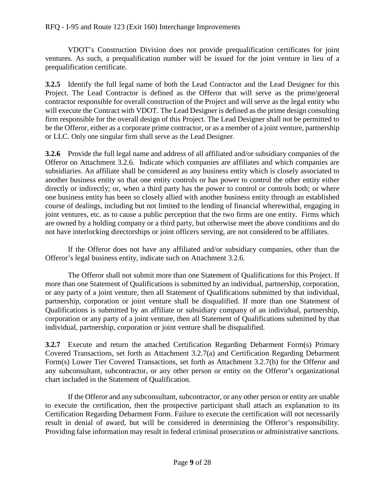#### RFQ - I-95 and Route 123 (Exit 160) Interchange Improvements

VDOT's Construction Division does not provide prequalification certificates for joint ventures. As such, a prequalification number will be issued for the joint venture in lieu of a prequalification certificate.

**3.2.5** Identify the full legal name of both the Lead Contractor and the Lead Designer for this Project. The Lead Contractor is defined as the Offeror that will serve as the prime/general contractor responsible for overall construction of the Project and will serve as the legal entity who will execute the Contract with VDOT. The Lead Designer is defined as the prime design consulting firm responsible for the overall design of this Project. The Lead Designer shall not be permitted to be the Offeror, either as a corporate prime contractor, or as a member of a joint venture, partnership or LLC. Only one singular firm shall serve as the Lead Designer.

**3.2.6** Provide the full legal name and address of all affiliated and/or subsidiary companies of the Offeror on Attachment 3.2.6. Indicate which companies are affiliates and which companies are subsidiaries. An affiliate shall be considered as any business entity which is closely associated to another business entity so that one entity controls or has power to control the other entity either directly or indirectly; or, when a third party has the power to control or controls both; or where one business entity has been so closely allied with another business entity through an established course of dealings, including but not limited to the lending of financial wherewithal, engaging in joint ventures, etc. as to cause a public perception that the two firms are one entity. Firms which are owned by a holding company or a third party, but otherwise meet the above conditions and do not have interlocking directorships or joint officers serving, are not considered to be affiliates.

If the Offeror does not have any affiliated and/or subsidiary companies, other than the Offeror's legal business entity, indicate such on Attachment 3.2.6.

The Offeror shall not submit more than one Statement of Qualifications for this Project. If more than one Statement of Qualifications is submitted by an individual, partnership, corporation, or any party of a joint venture, then all Statement of Qualifications submitted by that individual, partnership, corporation or joint venture shall be disqualified. If more than one Statement of Qualifications is submitted by an affiliate or subsidiary company of an individual, partnership, corporation or any party of a joint venture, then all Statement of Qualifications submitted by that individual, partnership, corporation or joint venture shall be disqualified.

**3.2.7** Execute and return the attached Certification Regarding Debarment Form(s) Primary Covered Transactions, set forth as Attachment 3.2.7(a) and Certification Regarding Debarment Form(s) Lower Tier Covered Transactions, set forth as Attachment 3.2.7(b) for the Offeror and any subconsultant, subcontractor, or any other person or entity on the Offeror's organizational chart included in the Statement of Qualification.

If the Offeror and any subconsultant, subcontractor, or any other person or entity are unable to execute the certification, then the prospective participant shall attach an explanation to its Certification Regarding Debarment Form. Failure to execute the certification will not necessarily result in denial of award, but will be considered in determining the Offeror's responsibility. Providing false information may result in federal criminal prosecution or administrative sanctions.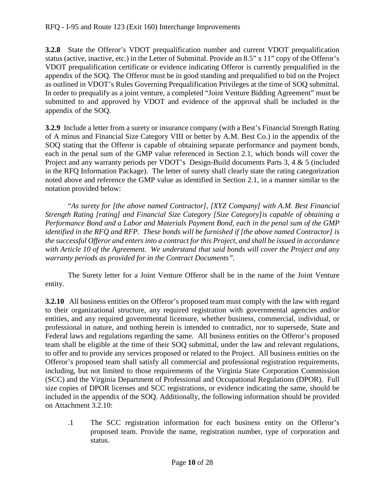**3.2.8** State the Offeror's VDOT prequalification number and current VDOT prequalification status (active, inactive, etc.) in the Letter of Submittal. Provide an 8.5" x 11" copy of the Offeror's VDOT prequalification certificate or evidence indicating Offeror is currently prequalified in the appendix of the SOQ. The Offeror must be in good standing and prequalified to bid on the Project as outlined in VDOT's Rules Governing Prequalification Privileges at the time of SOQ submittal. In order to prequalify as a joint venture, a completed "Joint Venture Bidding Agreement" must be submitted to and approved by VDOT and evidence of the approval shall be included in the appendix of the SOQ.

**3.2.9** Include a letter from a surety or insurance company (with a Best's Financial Strength Rating of A minus and Financial Size Category VIII or better by A.M. Best Co.) in the appendix of the SOQ stating that the Offeror is capable of obtaining separate performance and payment bonds, each in the penal sum of the GMP value referenced in Section 2.1, which bonds will cover the Project and any warranty periods per VDOT's Design-Build documents Parts 3, 4 & 5 (included in the RFQ Information Package). The letter of surety shall clearly state the rating categorization noted above and reference the GMP value as identified in Section 2.1, in a manner similar to the notation provided below:

"*As surety for [the above named Contractor], [XYZ Company] with A.M. Best Financial Strength Rating [rating] and Financial Size Category [Size Category]is capable of obtaining a Performance Bond and a Labor and Materials Payment Bond, each in the penal sum of the GMP identified in the RFQ and RFP. These bonds will be furnished if [the above named Contractor] is the successful Offeror and enters into a contract for this Project, and shall be issued in accordance with Article 10 of the Agreement*. *We understand that said bonds will cover the Project and any warranty periods as provided for in the Contract Documents".*

The Surety letter for a Joint Venture Offeror shall be in the name of the Joint Venture entity.

**3.2.10** All business entities on the Offeror's proposed team must comply with the law with regard to their organizational structure, any required registration with governmental agencies and/or entities, and any required governmental licensure, whether business, commercial, individual, or professional in nature, and nothing herein is intended to contradict, nor to supersede, State and Federal laws and regulations regarding the same. All business entities on the Offeror's proposed team shall be eligible at the time of their SOQ submittal, under the law and relevant regulations, to offer and to provide any services proposed or related to the Project. All business entities on the Offeror's proposed team shall satisfy all commercial and professional registration requirements, including, but not limited to those requirements of the Virginia State Corporation Commission (SCC) and the Virginia Department of Professional and Occupational Regulations (DPOR). Full size copies of DPOR licenses and SCC registrations, or evidence indicating the same, should be included in the appendix of the SOQ. Additionally, the following information should be provided on Attachment 3.2.10:

.1 The SCC registration information for each business entity on the Offeror's proposed team. Provide the name, registration number, type of corporation and status.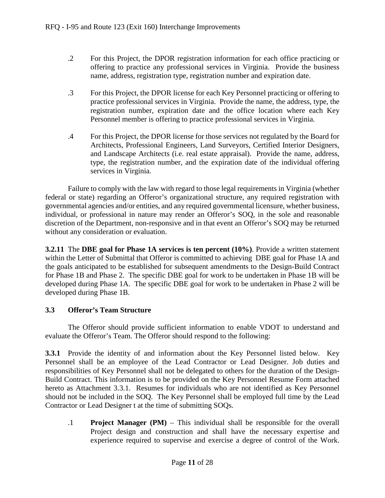- .2 For this Project, the DPOR registration information for each office practicing or offering to practice any professional services in Virginia. Provide the business name, address, registration type, registration number and expiration date.
- .3 For this Project, the DPOR license for each Key Personnel practicing or offering to practice professional services in Virginia. Provide the name, the address, type, the registration number, expiration date and the office location where each Key Personnel member is offering to practice professional services in Virginia.
- .4 For this Project, the DPOR license for those services not regulated by the Board for Architects, Professional Engineers, Land Surveyors, Certified Interior Designers, and Landscape Architects (i.e. real estate appraisal). Provide the name, address, type, the registration number, and the expiration date of the individual offering services in Virginia.

Failure to comply with the law with regard to those legal requirements in Virginia (whether federal or state) regarding an Offeror's organizational structure, any required registration with governmental agencies and/or entities, and any required governmental licensure, whether business, individual, or professional in nature may render an Offeror's SOQ, in the sole and reasonable discretion of the Department, non-responsive and in that event an Offeror's SOQ may be returned without any consideration or evaluation.

**3.2.11** The **DBE goal for Phase 1A services is ten percent (10%)**. Provide a written statement within the Letter of Submittal that Offeror is committed to achieving DBE goal for Phase 1A and the goals anticipated to be established for subsequent amendments to the Design-Build Contract for Phase 1B and Phase 2. The specific DBE goal for work to be undertaken in Phase 1B will be developed during Phase 1A. The specific DBE goal for work to be undertaken in Phase 2 will be developed during Phase 1B.

#### <span id="page-11-0"></span>**3.3 Offeror's Team Structure**

The Offeror should provide sufficient information to enable VDOT to understand and evaluate the Offeror's Team. The Offeror should respond to the following:

**3.3.1** Provide the identity of and information about the Key Personnel listed below. Key Personnel shall be an employee of the Lead Contractor or Lead Designer. Job duties and responsibilities of Key Personnel shall not be delegated to others for the duration of the Design-Build Contract. This information is to be provided on the Key Personnel Resume Form attached hereto as Attachment 3.3.1. Resumes for individuals who are not identified as Key Personnel should not be included in the SOQ. The Key Personnel shall be employed full time by the Lead Contractor or Lead Designer t at the time of submitting SOQs.

.1 **Project Manager (PM)** – This individual shall be responsible for the overall Project design and construction and shall have the necessary expertise and experience required to supervise and exercise a degree of control of the Work.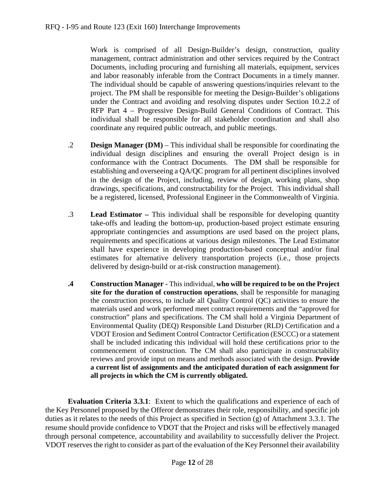Work is comprised of all Design-Builder's design, construction, quality management, contract administration and other services required by the Contract Documents, including procuring and furnishing all materials, equipment, services and labor reasonably inferable from the Contract Documents in a timely manner. The individual should be capable of answering questions/inquiries relevant to the project. The PM shall be responsible for meeting the Design-Builder's obligations under the Contract and avoiding and resolving disputes under Section 10.2.2 of RFP Part 4 – Progressive Design-Build General Conditions of Contract. This individual shall be responsible for all stakeholder coordination and shall also coordinate any required public outreach, and public meetings.

- .2 **Design Manager (DM)** This individual shall be responsible for coordinating the individual design disciplines and ensuring the overall Project design is in conformance with the Contract Documents. The DM shall be responsible for establishing and overseeing a QA/QC program for all pertinent disciplines involved in the design of the Project, including, review of design, working plans, shop drawings, specifications, and constructability for the Project. This individual shall be a registered, licensed, Professional Engineer in the Commonwealth of Virginia.
- .3 **Lead Estimator –** This individual shall be responsible for developing quantity take-offs and leading the bottom-up, production-based project estimate ensuring appropriate contingencies and assumptions are used based on the project plans, requirements and specifications at various design milestones. The Lead Estimator shall have experience in developing production-based conceptual and/or final estimates for alternative delivery transportation projects (i.e., those projects delivered by design-build or at-risk construction management).
- **.4 Construction Manager -** This individual, **who will be required to be on the Project site for the duration of construction operations**, shall be responsible for managing the construction process, to include all Quality Control (QC) activities to ensure the materials used and work performed meet contract requirements and the "approved for construction" plans and specifications. The CM shall hold a Virginia Department of Environmental Quality (DEQ) Responsible Land Disturber (RLD) Certification and a VDOT Erosion and Sediment Control Contractor Certification (ESCCC) or a statement shall be included indicating this individual will hold these certifications prior to the commencement of construction. The CM shall also participate in constructability reviews and provide input on means and methods associated with the design. **Provide a current list of assignments and the anticipated duration of each assignment for all projects in which the CM is currently obligated.**

**Evaluation Criteria 3.3.1**: Extent to which the qualifications and experience of each of the Key Personnel proposed by the Offeror demonstrates their role, responsibility, and specific job duties as it relates to the needs of this Project as specified in Section (g) of Attachment 3.3.1. The resume should provide confidence to VDOT that the Project and risks will be effectively managed through personal competence, accountability and availability to successfully deliver the Project. VDOT reserves the right to consider as part of the evaluation of the Key Personnel their availability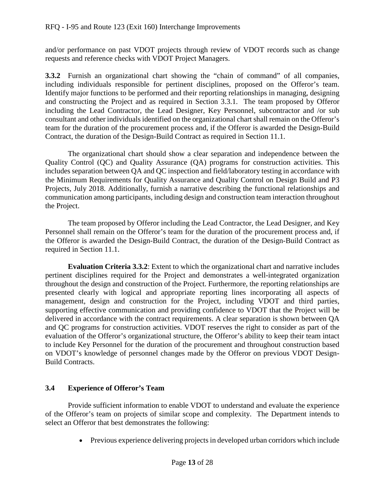and/or performance on past VDOT projects through review of VDOT records such as change requests and reference checks with VDOT Project Managers.

**3.3.2** Furnish an organizational chart showing the "chain of command" of all companies, including individuals responsible for pertinent disciplines, proposed on the Offeror's team. Identify major functions to be performed and their reporting relationships in managing, designing and constructing the Project and as required in Section 3.3.1. The team proposed by Offeror including the Lead Contractor, the Lead Designer, Key Personnel, subcontractor and /or sub consultant and other individuals identified on the organizational chart shall remain on the Offeror's team for the duration of the procurement process and, if the Offeror is awarded the Design-Build Contract, the duration of the Design-Build Contract as required in Section 11.1.

The organizational chart should show a clear separation and independence between the Quality Control (QC) and Quality Assurance (QA) programs for construction activities. This includes separation between QA and QC inspection and field/laboratory testing in accordance with the [Minimum Requirements for Quality Assurance and Quality Control on Design Build and P3](http://www.vdot.virginia.gov/business/resources/PPTA/Minimum_Requirements_for_QA-QC_-_January_2012.pdf)  [Projects, July](http://www.vdot.virginia.gov/business/resources/PPTA/Minimum_Requirements_for_QA-QC_-_January_2012.pdf) 2018. Additionally, furnish a narrative describing the functional relationships and communication among participants, including design and construction team interaction throughout the Project.

The team proposed by Offeror including the Lead Contractor, the Lead Designer, and Key Personnel shall remain on the Offeror's team for the duration of the procurement process and, if the Offeror is awarded the Design-Build Contract, the duration of the Design-Build Contract as required in Section 11.1.

**Evaluation Criteria 3.3.2**: Extent to which the organizational chart and narrative includes pertinent disciplines required for the Project and demonstrates a well-integrated organization throughout the design and construction of the Project. Furthermore, the reporting relationships are presented clearly with logical and appropriate reporting lines incorporating all aspects of management, design and construction for the Project, including VDOT and third parties, supporting effective communication and providing confidence to VDOT that the Project will be delivered in accordance with the contract requirements. A clear separation is shown between QA and QC programs for construction activities. VDOT reserves the right to consider as part of the evaluation of the Offeror's organizational structure, the Offeror's ability to keep their team intact to include Key Personnel for the duration of the procurement and throughout construction based on VDOT's knowledge of personnel changes made by the Offeror on previous VDOT Design-Build Contracts.

### <span id="page-13-0"></span>**3.4 Experience of Offeror's Team**

Provide sufficient information to enable VDOT to understand and evaluate the experience of the Offeror's team on projects of similar scope and complexity. The Department intends to select an Offeror that best demonstrates the following:

• Previous experience delivering projects in developed urban corridors which include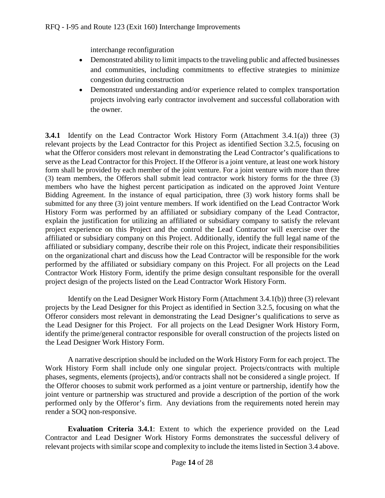interchange reconfiguration

- Demonstrated ability to limit impacts to the traveling public and affected businesses and communities, including commitments to effective strategies to minimize congestion during construction
- Demonstrated understanding and/or experience related to complex transportation projects involving early contractor involvement and successful collaboration with the owner.

**3.4.1** Identify on the Lead Contractor Work History Form (Attachment 3.4.1(a)) three (3) relevant projects by the Lead Contractor for this Project as identified Section 3.2.5, focusing on what the Offeror considers most relevant in demonstrating the Lead Contractor's qualifications to serve as the Lead Contractor for this Project. If the Offeror is a joint venture, at least one work history form shall be provided by each member of the joint venture. For a joint venture with more than three (3) team members, the Offerors shall submit lead contractor work history forms for the three (3) members who have the highest percent participation as indicated on the approved Joint Venture Bidding Agreement. In the instance of equal participation, three (3) work history forms shall be submitted for any three (3) joint venture members. If work identified on the Lead Contractor Work History Form was performed by an affiliated or subsidiary company of the Lead Contractor, explain the justification for utilizing an affiliated or subsidiary company to satisfy the relevant project experience on this Project and the control the Lead Contractor will exercise over the affiliated or subsidiary company on this Project. Additionally, identify the full legal name of the affiliated or subsidiary company, describe their role on this Project, indicate their responsibilities on the organizational chart and discuss how the Lead Contractor will be responsible for the work performed by the affiliated or subsidiary company on this Project. For all projects on the Lead Contractor Work History Form, identify the prime design consultant responsible for the overall project design of the projects listed on the Lead Contractor Work History Form.

Identify on the Lead Designer Work History Form (Attachment 3.4.1(b)) three (3) relevant projects by the Lead Designer for this Project as identified in Section 3.2.5, focusing on what the Offeror considers most relevant in demonstrating the Lead Designer's qualifications to serve as the Lead Designer for this Project. For all projects on the Lead Designer Work History Form, identify the prime/general contractor responsible for overall construction of the projects listed on the Lead Designer Work History Form.

A narrative description should be included on the Work History Form for each project. The Work History Form shall include only one singular project. Projects/contracts with multiple phases, segments, elements (projects), and/or contracts shall not be considered a single project. If the Offeror chooses to submit work performed as a joint venture or partnership, identify how the joint venture or partnership was structured and provide a description of the portion of the work performed only by the Offeror's firm. Any deviations from the requirements noted herein may render a SOQ non-responsive.

**Evaluation Criteria 3.4.1**: Extent to which the experience provided on the Lead Contractor and Lead Designer Work History Forms demonstrates the successful delivery of relevant projects with similar scope and complexity to include the items listed in Section 3.4 above.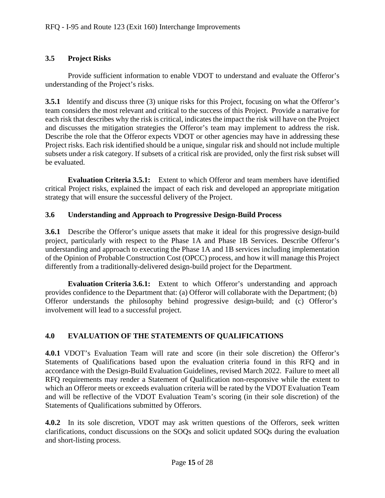### <span id="page-15-0"></span>**3.5 Project Risks**

Provide sufficient information to enable VDOT to understand and evaluate the Offeror's understanding of the Project's risks.

**3.5.1** Identify and discuss three (3) unique risks for this Project, focusing on what the Offeror's team considers the most relevant and critical to the success of this Project. Provide a narrative for each risk that describes why the risk is critical, indicates the impact the risk will have on the Project and discusses the mitigation strategies the Offeror's team may implement to address the risk. Describe the role that the Offeror expects VDOT or other agencies may have in addressing these Project risks. Each risk identified should be a unique, singular risk and should not include multiple subsets under a risk category. If subsets of a critical risk are provided, only the first risk subset will be evaluated.

**Evaluation Criteria 3.5.1:** Extent to which Offeror and team members have identified critical Project risks, explained the impact of each risk and developed an appropriate mitigation strategy that will ensure the successful delivery of the Project.

#### <span id="page-15-1"></span>**3.6 Understanding and Approach to Progressive Design-Build Process**

**3.6.1** Describe the Offeror's unique assets that make it ideal for this progressive design-build project, particularly with respect to the Phase 1A and Phase 1B Services. Describe Offeror's understanding and approach to executing the Phase 1A and 1B services including implementation of the Opinion of Probable Construction Cost (OPCC) process, and how it will manage this Project differently from a traditionally-delivered design-build project for the Department.

**Evaluation Criteria 3.6.1:** Extent to which Offeror's understanding and approach provides confidence to the Department that: (a) Offeror will collaborate with the Department; (b) Offeror understands the philosophy behind progressive design-build; and (c) Offeror's involvement will lead to a successful project.

### <span id="page-15-2"></span>**4.0 EVALUATION OF THE STATEMENTS OF QUALIFICATIONS**

**4.0.1** VDOT's Evaluation Team will rate and score (in their sole discretion) the Offeror's Statements of Qualifications based upon the evaluation criteria found in this RFQ and in accordance with the Design-Build Evaluation Guidelines, revised March 2022. Failure to meet all RFQ requirements may render a Statement of Qualification non-responsive while the extent to which an Offeror meets or exceeds evaluation criteria will be rated by the VDOT Evaluation Team and will be reflective of the VDOT Evaluation Team's scoring (in their sole discretion) of the Statements of Qualifications submitted by Offerors.

**4.0.2** In its sole discretion, VDOT may ask written questions of the Offerors, seek written clarifications, conduct discussions on the SOQs and solicit updated SOQs during the evaluation and short-listing process.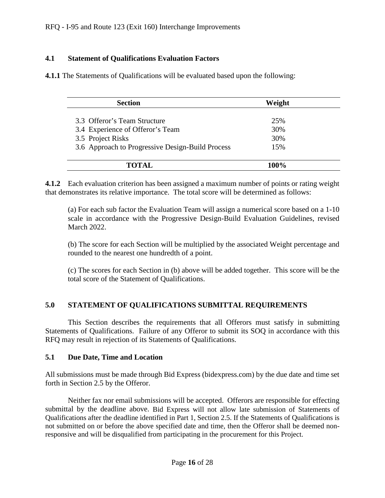#### <span id="page-16-0"></span>**4.1 Statement of Qualifications Evaluation Factors**

**4.1.1** The Statements of Qualifications will be evaluated based upon the following:

| <b>Section</b>                                   | Weight |  |
|--------------------------------------------------|--------|--|
| 3.3 Offeror's Team Structure                     | 25%    |  |
| 3.4 Experience of Offeror's Team                 | 30%    |  |
| 3.5 Project Risks                                | 30%    |  |
| 3.6 Approach to Progressive Design-Build Process | 15%    |  |
|                                                  |        |  |
| <b>TOTAL</b>                                     |        |  |

**4.1.2** Each evaluation criterion has been assigned a maximum number of points or rating weight that demonstrates its relative importance. The total score will be determined as follows:

(a) For each sub factor the Evaluation Team will assign a numerical score based on a 1-10 scale in accordance with the Progressive Design-Build Evaluation Guidelines, revised March 2022.

(b) The score for each Section will be multiplied by the associated Weight percentage and rounded to the nearest one hundredth of a point.

(c) The scores for each Section in (b) above will be added together. This score will be the total score of the Statement of Qualifications.

#### <span id="page-16-1"></span>**5.0 STATEMENT OF QUALIFICATIONS SUBMITTAL REQUIREMENTS**

This Section describes the requirements that all Offerors must satisfy in submitting Statements of Qualifications. Failure of any Offeror to submit its SOQ in accordance with this RFQ may result in rejection of its Statements of Qualifications.

#### <span id="page-16-2"></span>**5.1 Due Date, Time and Location**

All submissions must be made through Bid Express (bidexpress.com) by the due date and time set forth in Section 2.5 by the Offeror.

Neither fax nor email submissions will be accepted. Offerors are responsible for effecting submittal by the deadline above. Bid Express will not allow late submission of Statements of Qualifications after the deadline identified in Part 1, Section 2.5. If the Statements of Qualifications is not submitted on or before the above specified date and time, then the Offeror shall be deemed nonresponsive and will be disqualified from participating in the procurement for this Project.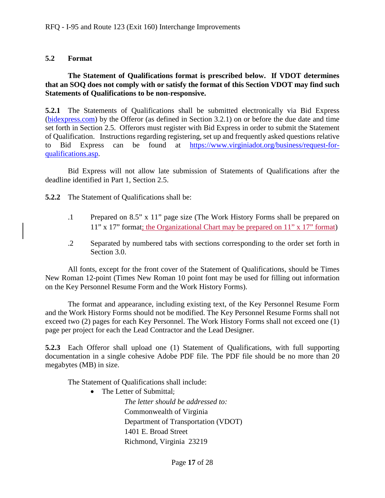#### <span id="page-17-0"></span>**5.2 Format**

#### **The Statement of Qualifications format is prescribed below. If VDOT determines that an SOQ does not comply with or satisfy the format of this Section VDOT may find such Statements of Qualifications to be non-responsive.**

**5.2.1** The Statements of Qualifications shall be submitted electronically via Bid Express [\(bidexpress.com\)](https://www.bidexpress.com/login?return_to=%2F) by the Offeror (as defined in Section 3.2.1) on or before the due date and time set forth in Section 2.5. Offerors must register with Bid Express in order to submit the Statement of Qualification. Instructions regarding registering, set up and frequently asked questions relative to Bid Express can be found at [https://www.virginiadot.org/business/request-for](https://www.virginiadot.org/business/request-for-qualifications.asp)[qualifications.asp.](https://www.virginiadot.org/business/request-for-qualifications.asp)

Bid Express will not allow late submission of Statements of Qualifications after the deadline identified in Part 1, Section 2.5.

**5.2.2** The Statement of Qualifications shall be:

- .1 Prepared on 8.5" x 11" page size (The Work History Forms shall be prepared on 11" x 17" format; the Organizational Chart may be prepared on 11" x 17" format)
- .2 Separated by numbered tabs with sections corresponding to the order set forth in Section 3.0.

All fonts, except for the front cover of the Statement of Qualifications, should be Times New Roman 12-point (Times New Roman 10 point font may be used for filling out information on the Key Personnel Resume Form and the Work History Forms).

The format and appearance, including existing text, of the Key Personnel Resume Form and the Work History Forms should not be modified. The Key Personnel Resume Forms shall not exceed two (2) pages for each Key Personnel. The Work History Forms shall not exceed one (1) page per project for each the Lead Contractor and the Lead Designer.

**5.2.3** Each Offeror shall upload one (1) Statement of Qualifications, with full supporting documentation in a single cohesive Adobe PDF file. The PDF file should be no more than 20 megabytes (MB) in size.

The Statement of Qualifications shall include:

• The Letter of Submittal;

*The letter should be addressed to:* Commonwealth of Virginia Department of Transportation (VDOT) 1401 E. Broad Street Richmond, Virginia 23219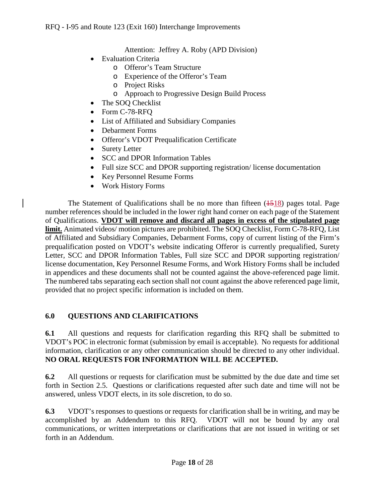Attention: Jeffrey A. Roby (APD Division)

- Evaluation Criteria
	- o Offeror's Team Structure
	- o Experience of the Offeror's Team
	- o Project Risks
	- o Approach to Progressive Design Build Process
- The SOQ Checklist
- Form C-78-RFQ
- List of Affiliated and Subsidiary Companies
- Debarment Forms
- Offeror's VDOT Prequalification Certificate
- Surety Letter
- SCC and DPOR Information Tables
- Full size SCC and DPOR supporting registration/license documentation
- Key Personnel Resume Forms
- Work History Forms

The Statement of Qualifications shall be no more than fifteen  $(1518)$  pages total. Page number references should be included in the lower right hand corner on each page of the Statement of Qualifications. **VDOT will remove and discard all pages in excess of the stipulated page limit.** Animated videos/ motion pictures are prohibited. The SOQ Checklist, Form C-78-RFQ, List of Affiliated and Subsidiary Companies, Debarment Forms, copy of current listing of the Firm's prequalification posted on VDOT's website indicating Offeror is currently prequalified, Surety Letter, SCC and DPOR Information Tables, Full size SCC and DPOR supporting registration/ license documentation, Key Personnel Resume Forms, and Work History Forms shall be included in appendices and these documents shall not be counted against the above-referenced page limit. The numbered tabs separating each section shall not count against the above referenced page limit, provided that no project specific information is included on them.

### <span id="page-18-0"></span>**6.0 QUESTIONS AND CLARIFICATIONS**

**6.1** All questions and requests for clarification regarding this RFQ shall be submitted to VDOT's POC in electronic format (submission by email is acceptable). No requests for additional information, clarification or any other communication should be directed to any other individual. **NO ORAL REQUESTS FOR INFORMATION WILL BE ACCEPTED.**

**6.2** All questions or requests for clarification must be submitted by the due date and time set forth in Section 2.5. Questions or clarifications requested after such date and time will not be answered, unless VDOT elects, in its sole discretion, to do so.

**6.3** VDOT's responses to questions or requests for clarification shall be in writing, and may be accomplished by an Addendum to this RFQ. VDOT will not be bound by any oral communications, or written interpretations or clarifications that are not issued in writing or set forth in an Addendum.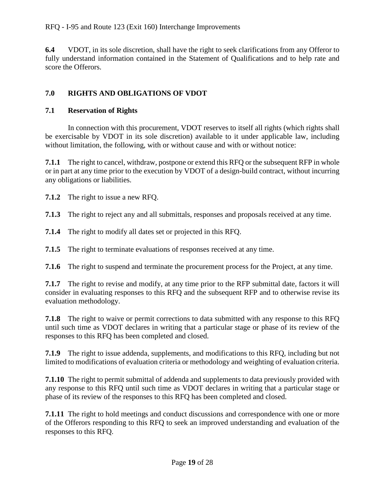#### RFQ - I-95 and Route 123 (Exit 160) Interchange Improvements

**6.4** VDOT, in its sole discretion, shall have the right to seek clarifications from any Offeror to fully understand information contained in the Statement of Qualifications and to help rate and score the Offerors.

# <span id="page-19-0"></span>**7.0 RIGHTS AND OBLIGATIONS OF VDOT**

### <span id="page-19-1"></span>**7.1 Reservation of Rights**

In connection with this procurement, VDOT reserves to itself all rights (which rights shall be exercisable by VDOT in its sole discretion) available to it under applicable law, including without limitation, the following, with or without cause and with or without notice:

**7.1.1** The right to cancel, withdraw, postpone or extend this RFQ or the subsequent RFP in whole or in part at any time prior to the execution by VDOT of a design-build contract, without incurring any obligations or liabilities.

**7.1.2** The right to issue a new RFQ.

**7.1.3** The right to reject any and all submittals, responses and proposals received at any time.

**7.1.4** The right to modify all dates set or projected in this RFQ.

**7.1.5** The right to terminate evaluations of responses received at any time.

**7.1.6** The right to suspend and terminate the procurement process for the Project, at any time.

**7.1.7** The right to revise and modify, at any time prior to the RFP submittal date, factors it will consider in evaluating responses to this RFQ and the subsequent RFP and to otherwise revise its evaluation methodology.

**7.1.8** The right to waive or permit corrections to data submitted with any response to this RFQ until such time as VDOT declares in writing that a particular stage or phase of its review of the responses to this RFQ has been completed and closed.

**7.1.9** The right to issue addenda, supplements, and modifications to this RFQ, including but not limited to modifications of evaluation criteria or methodology and weighting of evaluation criteria.

**7.1.10** The right to permit submittal of addenda and supplements to data previously provided with any response to this RFQ until such time as VDOT declares in writing that a particular stage or phase of its review of the responses to this RFQ has been completed and closed.

**7.1.11** The right to hold meetings and conduct discussions and correspondence with one or more of the Offerors responding to this RFQ to seek an improved understanding and evaluation of the responses to this RFQ.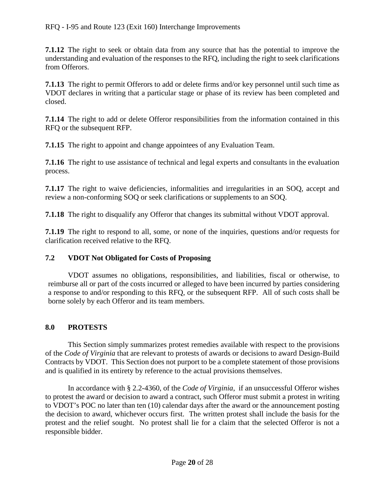**7.1.12** The right to seek or obtain data from any source that has the potential to improve the understanding and evaluation of the responses to the RFQ, including the right to seek clarifications from Offerors.

**7.1.13** The right to permit Offerors to add or delete firms and/or key personnel until such time as VDOT declares in writing that a particular stage or phase of its review has been completed and closed.

**7.1.14** The right to add or delete Offeror responsibilities from the information contained in this RFQ or the subsequent RFP.

**7.1.15** The right to appoint and change appointees of any Evaluation Team.

**7.1.16** The right to use assistance of technical and legal experts and consultants in the evaluation process.

**7.1.17** The right to waive deficiencies, informalities and irregularities in an SOQ, accept and review a non-conforming SOQ or seek clarifications or supplements to an SOQ.

**7.1.18** The right to disqualify any Offeror that changes its submittal without VDOT approval.

**7.1.19** The right to respond to all, some, or none of the inquiries, questions and/or requests for clarification received relative to the RFQ.

# <span id="page-20-0"></span>**7.2 VDOT Not Obligated for Costs of Proposing**

 VDOT assumes no obligations, responsibilities, and liabilities, fiscal or otherwise, to reimburse all or part of the costs incurred or alleged to have been incurred by parties considering a response to and/or responding to this RFQ, or the subsequent RFP. All of such costs shall be borne solely by each Offeror and its team members.

# <span id="page-20-1"></span>**8.0 PROTESTS**

This Section simply summarizes protest remedies available with respect to the provisions of the *Code of Virginia* that are relevant to protests of awards or decisions to award Design-Build Contracts by VDOT. This Section does not purport to be a complete statement of those provisions and is qualified in its entirety by reference to the actual provisions themselves.

In accordance with § 2.2-4360, of the *Code of Virginia*, if an unsuccessful Offeror wishes to protest the award or decision to award a contract, such Offeror must submit a protest in writing to VDOT's POC no later than ten (10) calendar days after the award or the announcement posting the decision to award, whichever occurs first. The written protest shall include the basis for the protest and the relief sought. No protest shall lie for a claim that the selected Offeror is not a responsible bidder.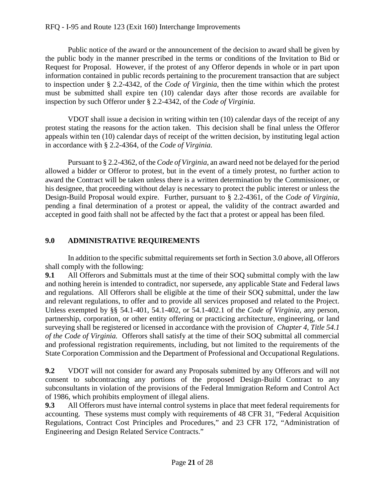#### RFQ - I-95 and Route 123 (Exit 160) Interchange Improvements

Public notice of the award or the announcement of the decision to award shall be given by the public body in the manner prescribed in the terms or conditions of the Invitation to Bid or Request for Proposal. However, if the protest of any Offeror depends in whole or in part upon information contained in public records pertaining to the procurement transaction that are subject to inspection under § 2.2-4342, of the *Code of Virginia*, then the time within which the protest must be submitted shall expire ten (10) calendar days after those records are available for inspection by such Offeror under § 2.2-4342, of the *Code of Virginia*.

VDOT shall issue a decision in writing within ten (10) calendar days of the receipt of any protest stating the reasons for the action taken. This decision shall be final unless the Offeror appeals within ten (10) calendar days of receipt of the written decision, by instituting legal action in accordance with § 2.2-4364*,* of the *Code of Virginia.* 

Pursuant to § 2.2-4362, of the *Code of Virginia*, an award need not be delayed for the period allowed a bidder or Offeror to protest, but in the event of a timely protest, no further action to award the Contract will be taken unless there is a written determination by the Commissioner, or his designee, that proceeding without delay is necessary to protect the public interest or unless the Design-Build Proposal would expire. Further, pursuant to § 2.2-4361, of the *Code of Virginia*, pending a final determination of a protest or appeal, the validity of the contract awarded and accepted in good faith shall not be affected by the fact that a protest or appeal has been filed.

#### <span id="page-21-0"></span>**9.0 ADMINISTRATIVE REQUIREMENTS**

In addition to the specific submittal requirements set forth in Section 3.0 above, all Offerors shall comply with the following:

**9.1** All Offerors and Submittals must at the time of their SOQ submittal comply with the law and nothing herein is intended to contradict, nor supersede, any applicable State and Federal laws and regulations. All Offerors shall be eligible at the time of their SOQ submittal, under the law and relevant regulations, to offer and to provide all services proposed and related to the Project. Unless exempted by §§ 54.1-401, 54.1-402, or 54.1-402.1 of the *Code of Virginia*, any person, partnership, corporation, or other entity offering or practicing architecture, engineering, or land surveying shall be registered or licensed in accordance with the provision of *Chapter 4, Title 54.1 of the Code of Virginia.* Offerors shall satisfy at the time of their SOQ submittal all commercial and professional registration requirements, including, but not limited to the requirements of the State Corporation Commission and the Department of Professional and Occupational Regulations.

**9.2** VDOT will not consider for award any Proposals submitted by any Offerors and will not consent to subcontracting any portions of the proposed Design-Build Contract to any subconsultants in violation of the provisions of the Federal Immigration Reform and Control Act of 1986, which prohibits employment of illegal aliens.

**9.3** All Offerors must have internal control systems in place that meet federal requirements for accounting. These systems must comply with requirements of 48 CFR 31, "Federal Acquisition Regulations, Contract Cost Principles and Procedures," and 23 CFR 172, "Administration of Engineering and Design Related Service Contracts."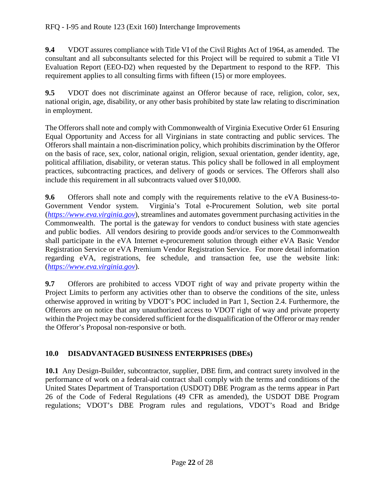**9.4** VDOT assures compliance with Title VI of the Civil Rights Act of 1964, as amended. The consultant and all subconsultants selected for this Project will be required to submit a Title VI Evaluation Report (EEO-D2) when requested by the Department to respond to the RFP. This requirement applies to all consulting firms with fifteen (15) or more employees.

**9.5** VDOT does not discriminate against an Offeror because of race, religion, color, sex, national origin, age, disability, or any other basis prohibited by state law relating to discrimination in employment.

The Offerors shall note and comply with Commonwealth of Virginia Executive Order 61 Ensuring Equal Opportunity and Access for all Virginians in state contracting and public services. The Offerors shall maintain a non-discrimination policy, which prohibits discrimination by the Offeror on the basis of race, sex, color, national origin, religion, sexual orientation, gender identity, age, political affiliation, disability, or veteran status. This policy shall be followed in all employment practices, subcontracting practices, and delivery of goods or services. The Offerors shall also include this requirement in all subcontracts valued over \$10,000.

**9.6** Offerors shall note and comply with the requirements relative to the eVA Business-to-Government Vendor system. Virginia's Total e-Procurement Solution, web site portal (*[https://www.eva.virginia.gov](https://www.eva.virginia.gov/)*), streamlines and automates government purchasing activities in the Commonwealth. The portal is the gateway for vendors to conduct business with state agencies and public bodies. All vendors desiring to provide goods and/or services to the Commonwealth shall participate in the eVA Internet e-procurement solution through either eVA Basic Vendor Registration Service or eVA Premium Vendor Registration Service. For more detail information regarding eVA, registrations, fee schedule, and transaction fee, use the website link: (*[https://www.eva.v](https://www.eva./)irginia.gov*).

**9.7** Offerors are prohibited to access VDOT right of way and private property within the Project Limits to perform any activities other than to observe the conditions of the site, unless otherwise approved in writing by VDOT's POC included in Part 1, Section 2.4. Furthermore, the Offerors are on notice that any unauthorized access to VDOT right of way and private property within the Project may be considered sufficient for the disqualification of the Offeror or may render the Offeror's Proposal non-responsive or both.

# <span id="page-22-0"></span>**10.0 DISADVANTAGED BUSINESS ENTERPRISES (DBEs)**

**10.1** Any Design-Builder, subcontractor, supplier, DBE firm, and contract surety involved in the performance of work on a federal-aid contract shall comply with the terms and conditions of the United States Department of Transportation (USDOT) DBE Program as the terms appear in Part 26 of the Code of Federal Regulations (49 CFR as amended), the USDOT DBE Program regulations; VDOT's DBE Program rules and regulations, VDOT's Road and Bridge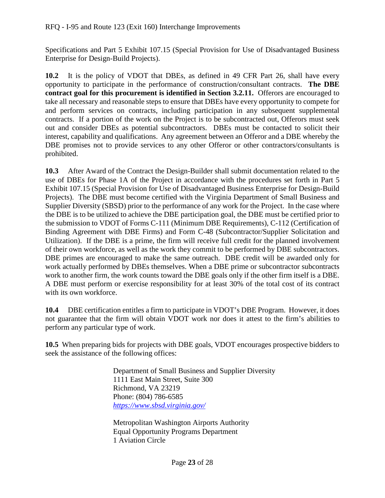Specifications and Part 5 Exhibit 107.15 (Special Provision for Use of Disadvantaged Business Enterprise for Design-Build Projects).

**10.2** It is the policy of VDOT that DBEs, as defined in 49 CFR Part 26, shall have every opportunity to participate in the performance of construction/consultant contracts. **The DBE contract goal for this procurement is identified in Section 3.2.11.** Offerors are encouraged to take all necessary and reasonable steps to ensure that DBEs have every opportunity to compete for and perform services on contracts, including participation in any subsequent supplemental contracts. If a portion of the work on the Project is to be subcontracted out, Offerors must seek out and consider DBEs as potential subcontractors. DBEs must be contacted to solicit their interest, capability and qualifications. Any agreement between an Offeror and a DBE whereby the DBE promises not to provide services to any other Offeror or other contractors/consultants is prohibited.

**10.3** After Award of the Contract the Design-Builder shall submit documentation related to the use of DBEs for Phase 1A of the Project in accordance with the procedures set forth in Part 5 Exhibit 107.15 (Special Provision for Use of Disadvantaged Business Enterprise for Design-Build Projects). The DBE must become certified with the Virginia Department of Small Business and Supplier Diversity (SBSD) prior to the performance of any work for the Project. In the case where the DBE is to be utilized to achieve the DBE participation goal, the DBE must be certified prior to the submission to VDOT of Forms C-111 (Minimum DBE Requirements), C-112 (Certification of Binding Agreement with DBE Firms) and Form C-48 (Subcontractor/Supplier Solicitation and Utilization). If the DBE is a prime, the firm will receive full credit for the planned involvement of their own workforce, as well as the work they commit to be performed by DBE subcontractors. DBE primes are encouraged to make the same outreach. DBE credit will be awarded only for work actually performed by DBEs themselves. When a DBE prime or subcontractor subcontracts work to another firm, the work counts toward the DBE goals only if the other firm itself is a DBE. A DBE must perform or exercise responsibility for at least 30% of the total cost of its contract with its own workforce.

**10.4** DBE certification entitles a firm to participate in VDOT's DBE Program. However, it does not guarantee that the firm will obtain VDOT work nor does it attest to the firm's abilities to perform any particular type of work.

**10.5** When preparing bids for projects with DBE goals, VDOT encourages prospective bidders to seek the assistance of the following offices:

> Department of Small Business and Supplier Diversity 1111 East Main Street, Suite 300 Richmond, VA 23219 Phone: (804) 786-6585 *<https://www.sbsd.virginia.gov/>*

Metropolitan Washington Airports Authority Equal Opportunity Programs Department 1 Aviation Circle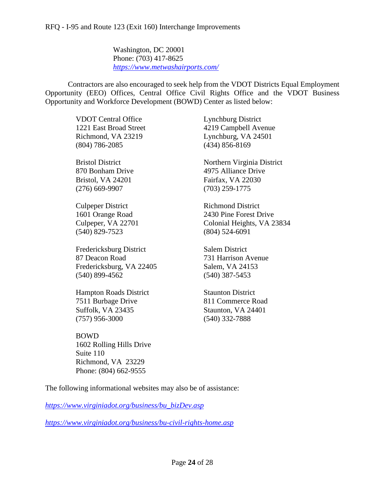Washington, DC 20001 Phone: (703) 417-8625 *<https://www.metwashairports.com/>*

Contractors are also encouraged to seek help from the VDOT Districts Equal Employment Opportunity (EEO) Offices, Central Office Civil Rights Office and the VDOT Business Opportunity and Workforce Development (BOWD) Center as listed below:

> VDOT Central Office Lynchburg District (804) 786-2085 (434) 856-8169

> Bristol, VA 24201 Fairfax, VA 22030 (276) 669-9907 (703) 259-1775

> Culpeper District Richmond District (540) 829-7523 (804) 524-6091

Fredericksburg District Salem District 87 Deacon Road 731 Harrison Avenue Fredericksburg, VA 22405 Salem, VA 24153 (540) 899-4562 (540) 387-5453

**Hampton Roads District Staunton District** 7511 Burbage Drive 811 Commerce Road Suffolk, VA 23435 Staunton, VA 24401 (757) 956-3000 (540) 332-7888

BOWD 1602 Rolling Hills Drive Suite 110 Richmond, VA 23229 Phone: (804) 662-9555

1221 East Broad Street 4219 Campbell Avenue Richmond, VA 23219 Lynchburg, VA 24501

Bristol District Northern Virginia District 870 Bonham Drive 4975 Alliance Drive

1601 Orange Road 2430 Pine Forest Drive Culpeper, VA 22701 Colonial Heights, VA 23834

The following informational websites may also be of assistance:

*https:/[/www.virginiadot.org/business/bu\\_bizDev.asp](http://www.virginiadot.org/business/bu_bizDev.asp)*

*<https://www.virginiadot.org/business/bu-civil-rights-home.asp>*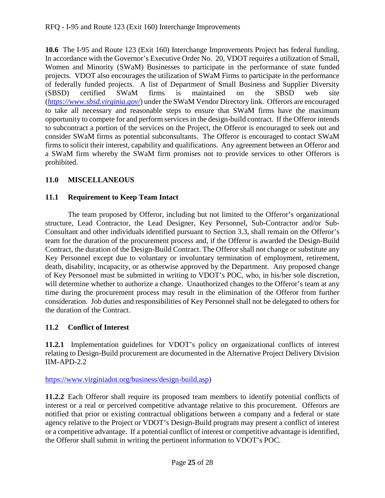**10.6** The I-95 and Route 123 (Exit 160) Interchange Improvements Project has federal funding. In accordance with the Governor's Executive Order No. 20, VDOT requires a utilization of Small, Women and Minority (SWaM) Businesses to participate in the performance of state funded projects. VDOT also encourages the utilization of SWaM Firms to participate in the performance of federally funded projects. A list of Department of Small Business and Supplier Diversity (SBSD) certified SWaM firms is maintained on the SBSD web site (*<https://www.sbsd.virginia.gov/>*) under the SWaM Vendor Directory link. Offerors are encouraged to take all necessary and reasonable steps to ensure that SWaM firms have the maximum opportunity to compete for and perform services in the design-build contract. If the Offeror intends to subcontract a portion of the services on the Project, the Offeror is encouraged to seek out and consider SWaM firms as potential subconsultants. The Offeror is encouraged to contact SWaM firms to solicit their interest, capability and qualifications. Any agreement between an Offeror and a SWaM firm whereby the SWaM firm promises not to provide services to other Offerors is prohibited.

# <span id="page-25-0"></span>**11.0 MISCELLANEOUS**

# <span id="page-25-1"></span>**11.1 Requirement to Keep Team Intact**

The team proposed by Offeror, including but not limited to the Offeror's organizational structure, Lead Contractor, the Lead Designer, Key Personnel, Sub-Contractor and/or Sub-Consultant and other individuals identified pursuant to Section 3.3, shall remain on the Offeror's team for the duration of the procurement process and, if the Offeror is awarded the Design-Build Contract, the duration of the Design-Build Contract. The Offeror shall not change or substitute any Key Personnel except due to voluntary or involuntary termination of employment, retirement, death, disability, incapacity, or as otherwise approved by the Department. Any proposed change of Key Personnel must be submitted in writing to VDOT's POC, who, in his/her sole discretion, will determine whether to authorize a change. Unauthorized changes to the Offeror's team at any time during the procurement process may result in the elimination of the Offeror from further consideration. Job duties and responsibilities of Key Personnel shall not be delegated to others for the duration of the Contract.

### <span id="page-25-2"></span>**11.2 Conflict of Interest**

**11.2.1** Implementation guidelines for VDOT's policy on organizational conflicts of interest relating to Design-Build procurement are documented in the Alternative Project Delivery Division IIM-APD-2.2

[https://www.virginiadot.org/business/design-build.asp\)](https://www.virginiadot.org/business/design-build.asp)

**11.2.2** Each Offeror shall require its proposed team members to identify potential conflicts of interest or a real or perceived competitive advantage relative to this procurement. Offerors are notified that prior or existing contractual obligations between a company and a federal or state agency relative to the Project or VDOT's Design-Build program may present a conflict of interest or a competitive advantage. If a potential conflict of interest or competitive advantage is identified, the Offeror shall submit in writing the pertinent information to VDOT's POC.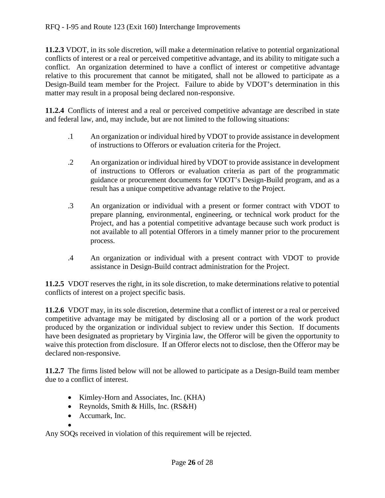**11.2.3** VDOT, in its sole discretion, will make a determination relative to potential organizational conflicts of interest or a real or perceived competitive advantage, and its ability to mitigate such a conflict. An organization determined to have a conflict of interest or competitive advantage relative to this procurement that cannot be mitigated, shall not be allowed to participate as a Design-Build team member for the Project. Failure to abide by VDOT's determination in this matter may result in a proposal being declared non-responsive.

**11.2.4** Conflicts of interest and a real or perceived competitive advantage are described in state and federal law, and, may include, but are not limited to the following situations:

- .1 An organization or individual hired by VDOT to provide assistance in development of instructions to Offerors or evaluation criteria for the Project.
- .2 An organization or individual hired by VDOT to provide assistance in development of instructions to Offerors or evaluation criteria as part of the programmatic guidance or procurement documents for VDOT's Design-Build program, and as a result has a unique competitive advantage relative to the Project.
- .3 An organization or individual with a present or former contract with VDOT to prepare planning, environmental, engineering, or technical work product for the Project, and has a potential competitive advantage because such work product is not available to all potential Offerors in a timely manner prior to the procurement process.
- .4 An organization or individual with a present contract with VDOT to provide assistance in Design-Build contract administration for the Project.

**11.2.5** VDOT reserves the right, in its sole discretion, to make determinations relative to potential conflicts of interest on a project specific basis.

**11.2.6** VDOT may, in its sole discretion, determine that a conflict of interest or a real or perceived competitive advantage may be mitigated by disclosing all or a portion of the work product produced by the organization or individual subject to review under this Section. If documents have been designated as proprietary by Virginia law, the Offeror will be given the opportunity to waive this protection from disclosure. If an Offeror elects not to disclose, then the Offeror may be declared non-responsive.

**11.2.7** The firms listed below will not be allowed to participate as a Design-Build team member due to a conflict of interest.

- Kimley-Horn and Associates, Inc. (KHA)
- Reynolds, Smith & Hills, Inc. (RS&H)
- Accumark, Inc.

• Any SOQs received in violation of this requirement will be rejected.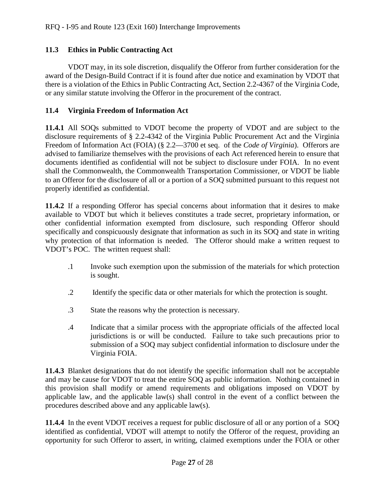#### <span id="page-27-0"></span>**11.3 Ethics in Public Contracting Act**

VDOT may, in its sole discretion, disqualify the Offeror from further consideration for the award of the Design-Build Contract if it is found after due notice and examination by VDOT that there is a violation of the Ethics in Public Contracting Act, Section 2.2-4367 of the Virginia Code, or any similar statute involving the Offeror in the procurement of the contract.

#### <span id="page-27-1"></span>**11.4 Virginia Freedom of Information Act**

**11.4.1** All SOQs submitted to VDOT become the property of VDOT and are subject to the disclosure requirements of § 2.2-4342 of the Virginia Public Procurement Act and the Virginia Freedom of Information Act (FOIA) (§ 2.2—3700 et seq. of the *Code of Virginia*). Offerors are advised to familiarize themselves with the provisions of each Act referenced herein to ensure that documents identified as confidential will not be subject to disclosure under FOIA. In no event shall the Commonwealth, the Commonwealth Transportation Commissioner, or VDOT be liable to an Offeror for the disclosure of all or a portion of a SOQ submitted pursuant to this request not properly identified as confidential.

**11.4.2** If a responding Offeror has special concerns about information that it desires to make available to VDOT but which it believes constitutes a trade secret, proprietary information, or other confidential information exempted from disclosure, such responding Offeror should specifically and conspicuously designate that information as such in its SOQ and state in writing why protection of that information is needed. The Offeror should make a written request to VDOT's POC. The written request shall:

- .1 Invoke such exemption upon the submission of the materials for which protection is sought.
- .2 Identify the specific data or other materials for which the protection is sought.
- .3 State the reasons why the protection is necessary.
- .4 Indicate that a similar process with the appropriate officials of the affected local jurisdictions is or will be conducted. Failure to take such precautions prior to submission of a SOQ may subject confidential information to disclosure under the Virginia FOIA.

**11.4.3** Blanket designations that do not identify the specific information shall not be acceptable and may be cause for VDOT to treat the entire SOQ as public information. Nothing contained in this provision shall modify or amend requirements and obligations imposed on VDOT by applicable law, and the applicable law(s) shall control in the event of a conflict between the procedures described above and any applicable law(s).

**11.4.4** In the event VDOT receives a request for public disclosure of all or any portion of a SOQ identified as confidential, VDOT will attempt to notify the Offeror of the request, providing an opportunity for such Offeror to assert, in writing, claimed exemptions under the FOIA or other